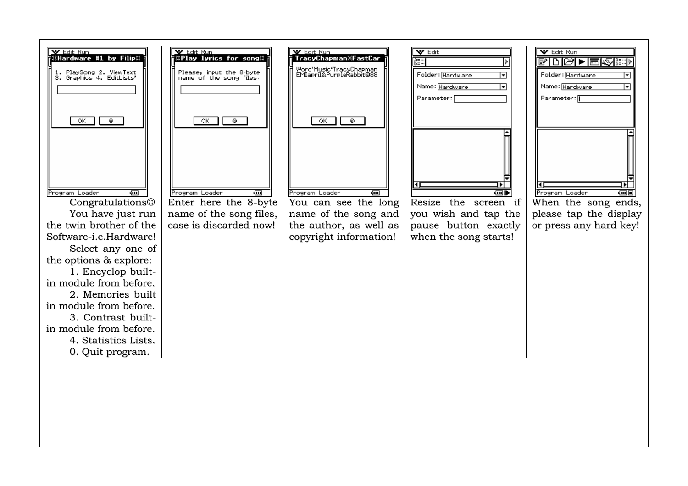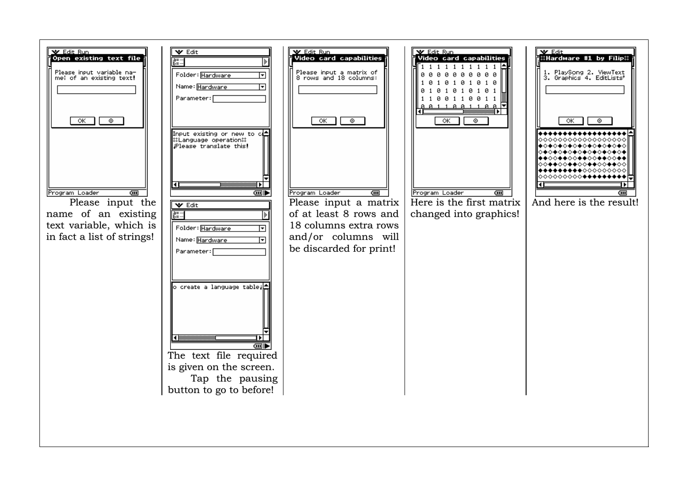